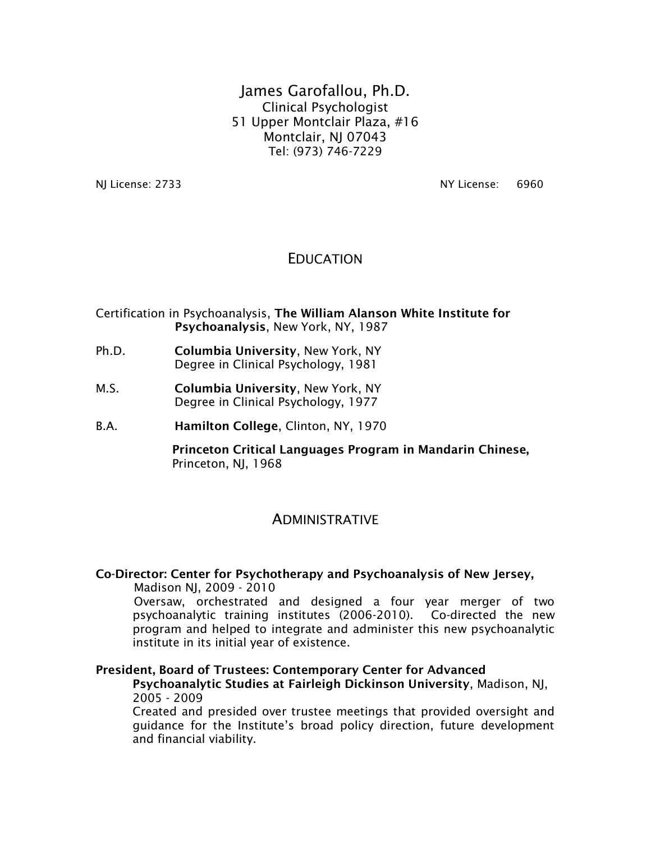James Garofallou, Ph.D. Clinical Psychologist 51 Upper Montclair Plaza, #16 Montclair, NJ 07043 Tel: (973) 746-7229

NJ License: 2733 NY License: 6960

## EDUCATION

Certification in Psychoanalysis, The William Alanson White Institute for Psychoanalysis, New York, NY, 1987

- Ph.D. Columbia University, New York, NY Degree in Clinical Psychology, 1981
- M.S. Columbia University, New York, NY Degree in Clinical Psychology, 1977
- B.A. Hamilton College, Clinton, NY, 1970

Princeton Critical Languages Program in Mandarin Chinese, Princeton, NJ, 1968

#### ADMINISTRATIVE

#### Co-Director: Center for Psychotherapy and Psychoanalysis of New Jersey,

Madison NJ, 2009 - 2010

Oversaw, orchestrated and designed a four year merger of two psychoanalytic training institutes (2006-2010). Co-directed the new program and helped to integrate and administer this new psychoanalytic institute in its initial year of existence.

#### President, Board of Trustees: Contemporary Center for Advanced

Psychoanalytic Studies at Fairleigh Dickinson University, Madison, NJ, 2005 - 2009

Created and presided over trustee meetings that provided oversight and guidance for the Institute's broad policy direction, future development and financial viability.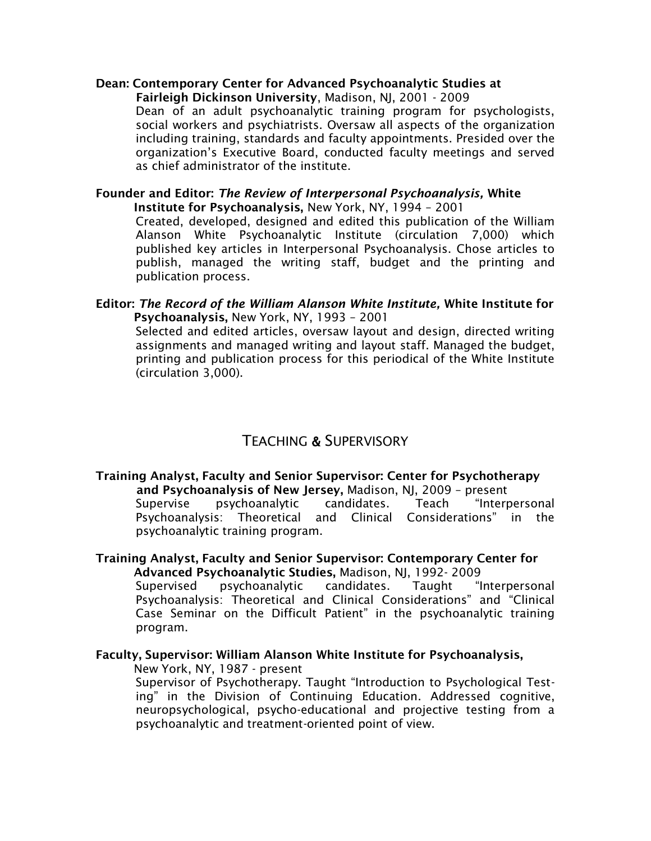## Dean: Contemporary Center for Advanced Psychoanalytic Studies at

Fairleigh Dickinson University, Madison, NJ, 2001 - 2009 Dean of an adult psychoanalytic training program for psychologists, social workers and psychiatrists. Oversaw all aspects of the organization including training, standards and faculty appointments. Presided over the organization's Executive Board, conducted faculty meetings and served as chief administrator of the institute.

#### Founder and Editor: *The Review of Interpersonal Psychoanalysis,* White Institute for Psychoanalysis, New York, NY, 1994 – 2001

Created, developed, designed and edited this publication of the William Alanson White Psychoanalytic Institute (circulation 7,000) which published key articles in Interpersonal Psychoanalysis. Chose articles to publish, managed the writing staff, budget and the printing and publication process.

#### Editor: *The Record of the William Alanson White Institute,* White Institute for Psychoanalysis, New York, NY, 1993 – 2001

Selected and edited articles, oversaw layout and design, directed writing assignments and managed writing and layout staff. Managed the budget, printing and publication process for this periodical of the White Institute (circulation 3,000).

# TEACHING & SUPERVISORY

#### Training Analyst, Faculty and Senior Supervisor: Center for Psychotherapy and Psychoanalysis of New Jersey, Madison, NJ, 2009 – present

Supervise psychoanalytic candidates. Teach "Interpersonal Psychoanalysis: Theoretical and Clinical Considerations" in the psychoanalytic training program.

#### Training Analyst, Faculty and Senior Supervisor: Contemporary Center for Advanced Psychoanalytic Studies, Madison, NJ, 1992- 2009

Supervised psychoanalytic candidates. Taught "Interpersonal Psychoanalysis: Theoretical and Clinical Considerations" and "Clinical Case Seminar on the Difficult Patient" in the psychoanalytic training program.

#### Faculty, Supervisor: William Alanson White Institute for Psychoanalysis,

New York, NY, 1987 - present

Supervisor of Psychotherapy. Taught "Introduction to Psychological Testing" in the Division of Continuing Education. Addressed cognitive, neuropsychological, psycho-educational and projective testing from a psychoanalytic and treatment-oriented point of view.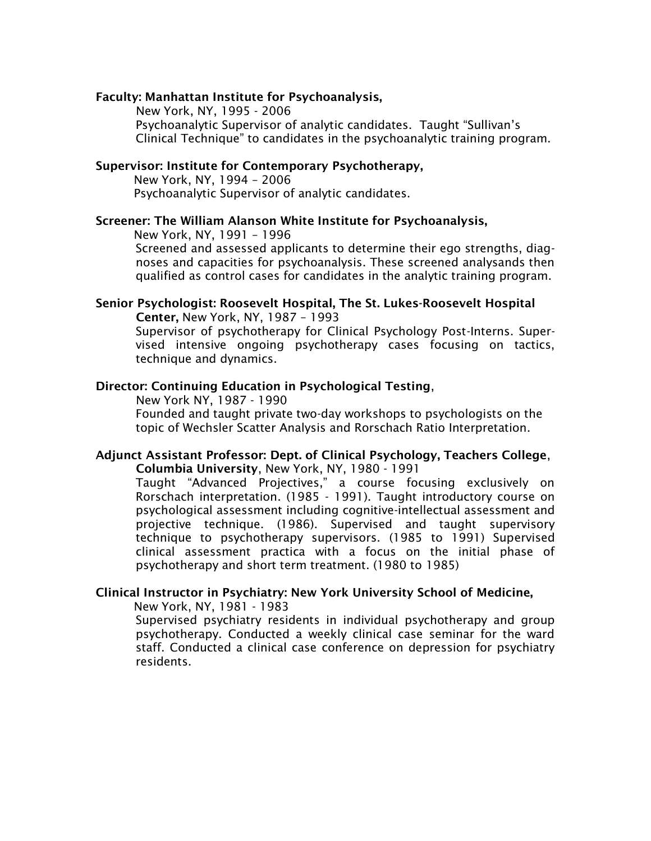#### Faculty: Manhattan Institute for Psychoanalysis,

New York, NY, 1995 - 2006

Psychoanalytic Supervisor of analytic candidates. Taught "Sullivan's Clinical Technique" to candidates in the psychoanalytic training program.

#### Supervisor: Institute for Contemporary Psychotherapy,

New York, NY, 1994 – 2006 Psychoanalytic Supervisor of analytic candidates.

#### Screener: The William Alanson White Institute for Psychoanalysis,

New York, NY, 1991 – 1996

Screened and assessed applicants to determine their ego strengths, diagnoses and capacities for psychoanalysis. These screened analysands then qualified as control cases for candidates in the analytic training program.

#### Senior Psychologist: Roosevelt Hospital, The St. Lukes-Roosevelt Hospital Center, New York, NY, 1987 – 1993

Supervisor of psychotherapy for Clinical Psychology Post-Interns. Supervised intensive ongoing psychotherapy cases focusing on tactics, technique and dynamics.

#### Director: Continuing Education in Psychological Testing,

New York NY, 1987 - 1990 Founded and taught private two-day workshops to psychologists on the topic of Wechsler Scatter Analysis and Rorschach Ratio Interpretation.

#### Adjunct Assistant Professor: Dept. of Clinical Psychology, Teachers College, Columbia University, New York, NY, 1980 - 1991

Taught "Advanced Projectives," a course focusing exclusively on Rorschach interpretation. (1985 - 1991). Taught introductory course on psychological assessment including cognitive-intellectual assessment and projective technique. (1986). Supervised and taught supervisory technique to psychotherapy supervisors. (1985 to 1991) Supervised clinical assessment practica with a focus on the initial phase of psychotherapy and short term treatment. (1980 to 1985)

#### Clinical Instructor in Psychiatry: New York University School of Medicine,

New York, NY, 1981 - 1983

Supervised psychiatry residents in individual psychotherapy and group psychotherapy. Conducted a weekly clinical case seminar for the ward staff. Conducted a clinical case conference on depression for psychiatry residents.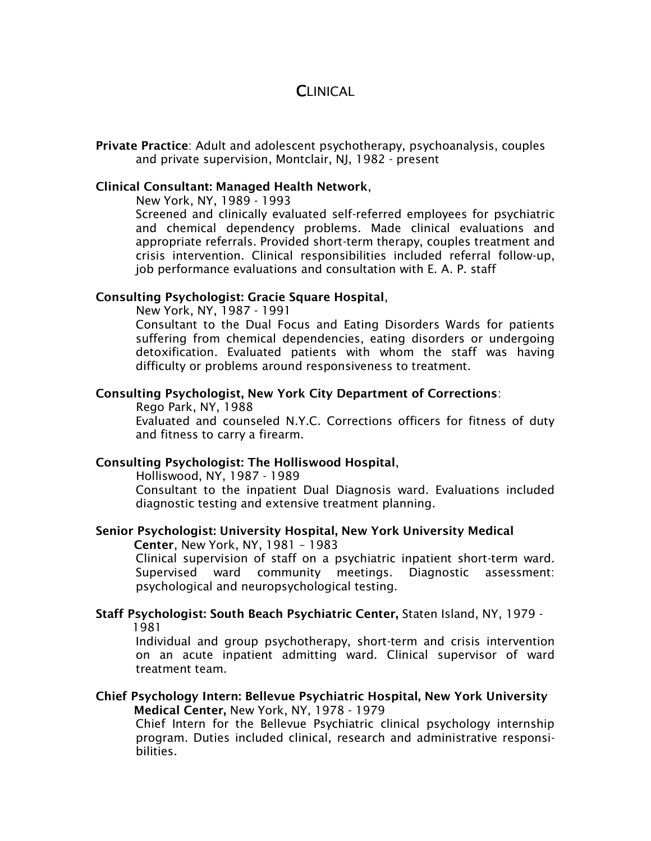# **CLINICAL**

Private Practice: Adult and adolescent psychotherapy, psychoanalysis, couples and private supervision, Montclair, NJ, 1982 - present

#### Clinical Consultant: Managed Health Network,

New York, NY, 1989 - 1993

Screened and clinically evaluated self-referred employees for psychiatric and chemical dependency problems. Made clinical evaluations and appropriate referrals. Provided short-term therapy, couples treatment and crisis intervention. Clinical responsibilities included referral follow-up, job performance evaluations and consultation with E. A. P. staff

#### Consulting Psychologist: Gracie Square Hospital,

New York, NY, 1987 - 1991

Consultant to the Dual Focus and Eating Disorders Wards for patients suffering from chemical dependencies, eating disorders or undergoing detoxification. Evaluated patients with whom the staff was having difficulty or problems around responsiveness to treatment.

#### Consulting Psychologist, New York City Department of Corrections:

Rego Park, NY, 1988 Evaluated and counseled N.Y.C. Corrections officers for fitness of duty and fitness to carry a firearm.

#### Consulting Psychologist: The Holliswood Hospital,

Holliswood, NY, 1987 - 1989

Consultant to the inpatient Dual Diagnosis ward. Evaluations included diagnostic testing and extensive treatment planning.

## Senior Psychologist: University Hospital, New York University Medical

Center, New York, NY, 1981 – 1983

Clinical supervision of staff on a psychiatric inpatient short-term ward. Supervised ward community meetings. Diagnostic assessment: psychological and neuropsychological testing.

#### Staff Psychologist: South Beach Psychiatric Center, Staten Island, NY, 1979 - 1981

Individual and group psychotherapy, short-term and crisis intervention on an acute inpatient admitting ward. Clinical supervisor of ward treatment team.

#### Chief Psychology Intern: Bellevue Psychiatric Hospital, New York University Medical Center, New York, NY, 1978 - 1979

Chief Intern for the Bellevue Psychiatric clinical psychology internship program. Duties included clinical, research and administrative responsibilities.